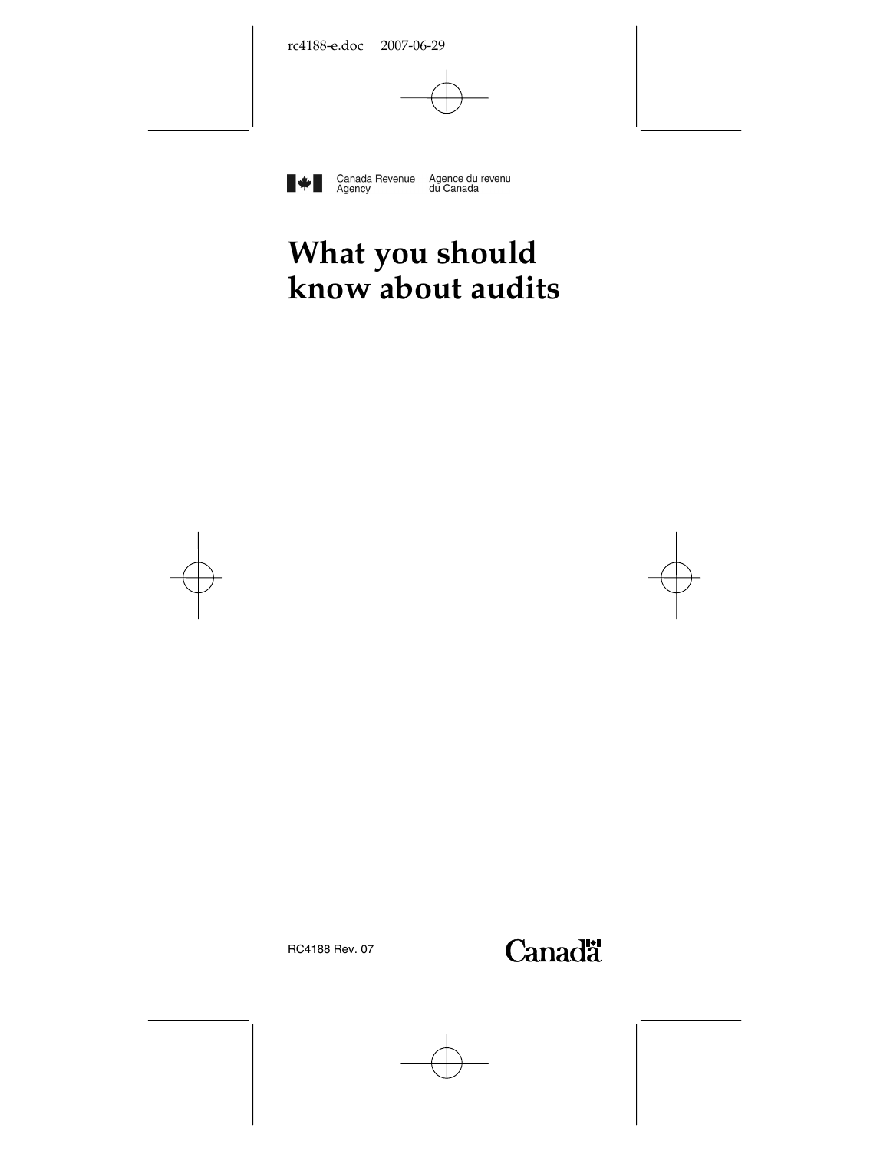

Canada Revenue Agence du revenu<br>Agency du Canada

# **What you should know about audits**



RC4188 Rev. 07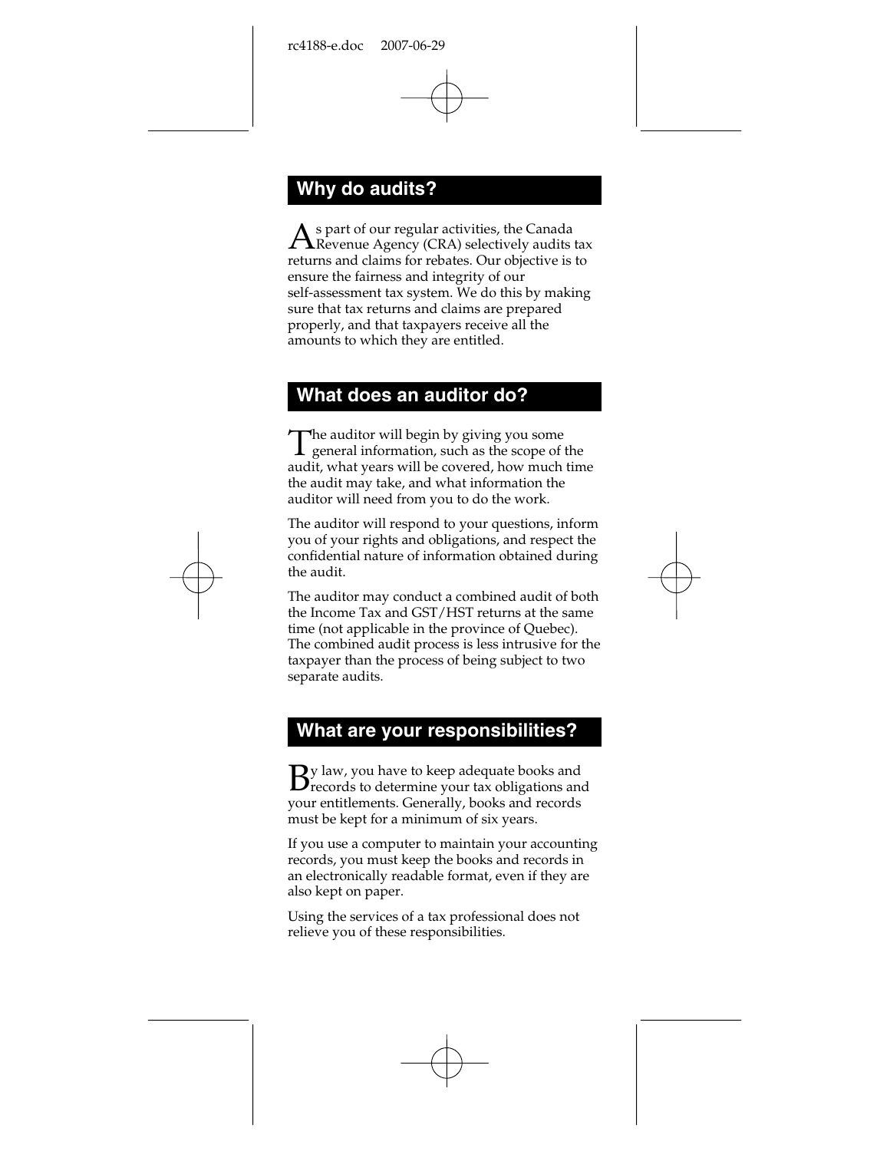# **Why do audits?**

s part of our regular activities, the Canada As part of our regular activities, the Canada<br>Revenue Agency (CRA) selectively audits tax returns and claims for rebates. Our objective is to ensure the fairness and integrity of our self-assessment tax system. We do this by making sure that tax returns and claims are prepared properly, and that taxpayers receive all the amounts to which they are entitled.

#### **What does an auditor do?**

 $\Gamma$ he auditor will begin by giving you some The auditor will begin by giving you some<br>general information, such as the scope of the audit, what years will be covered, how much time the audit may take, and what information the auditor will need from you to do the work.

The auditor will respond to your questions, inform you of your rights and obligations, and respect the confidential nature of information obtained during the audit.

The auditor may conduct a combined audit of both the Income Tax and GST/HST returns at the same time (not applicable in the province of Quebec). The combined audit process is less intrusive for the taxpayer than the process of being subject to two separate audits.

#### **What are your responsibilities?**

 $\mathbf{\mathbf{\mathsf{Q}}}$ y law, you have to keep adequate books and  $B$ y law, you have to keep adequate books and  $B$  records to determine your tax obligations and your entitlements. Generally, books and records must be kept for a minimum of six years.

If you use a computer to maintain your accounting records, you must keep the books and records in an electronically readable format, even if they are also kept on paper.

Using the services of a tax professional does not relieve you of these responsibilities.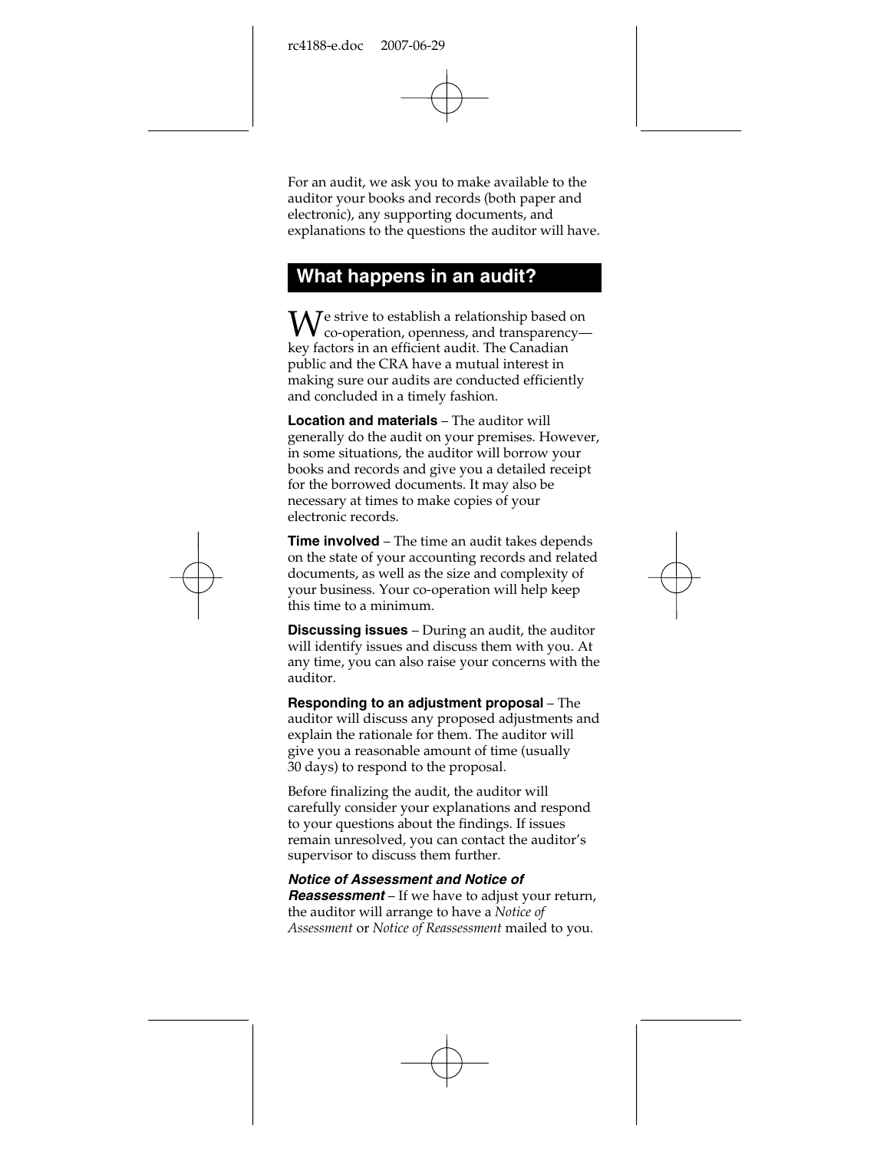For an audit, we ask you to make available to the auditor your books and records (both paper and electronic), any supporting documents, and explanations to the questions the auditor will have.

## **What happens in an audit?**

e strive to establish a relationship based on  $\mathbf{W}_{\text{co-operation, openness, and transpareney--}}$ key factors in an efficient audit. The Canadian public and the CRA have a mutual interest in making sure our audits are conducted efficiently and concluded in a timely fashion.

**Location and materials** – The auditor will generally do the audit on your premises. However, in some situations, the auditor will borrow your books and records and give you a detailed receipt for the borrowed documents. It may also be necessary at times to make copies of your electronic records.

**Time involved** – The time an audit takes depends on the state of your accounting records and related documents, as well as the size and complexity of your business. Your co-operation will help keep this time to a minimum.

**Discussing issues** – During an audit, the auditor will identify issues and discuss them with you. At any time, you can also raise your concerns with the auditor.

**Responding to an adjustment proposal** – The auditor will discuss any proposed adjustments and explain the rationale for them. The auditor will give you a reasonable amount of time (usually 30 days) to respond to the proposal.

Before finalizing the audit, the auditor will carefully consider your explanations and respond to your questions about the findings. If issues remain unresolved, you can contact the auditor's supervisor to discuss them further.

*Notice of Assessment and Notice of* 

*Reassessment* – If we have to adjust your return, the auditor will arrange to have a *Notice of Assessment* or *Notice of Reassessment* mailed to you.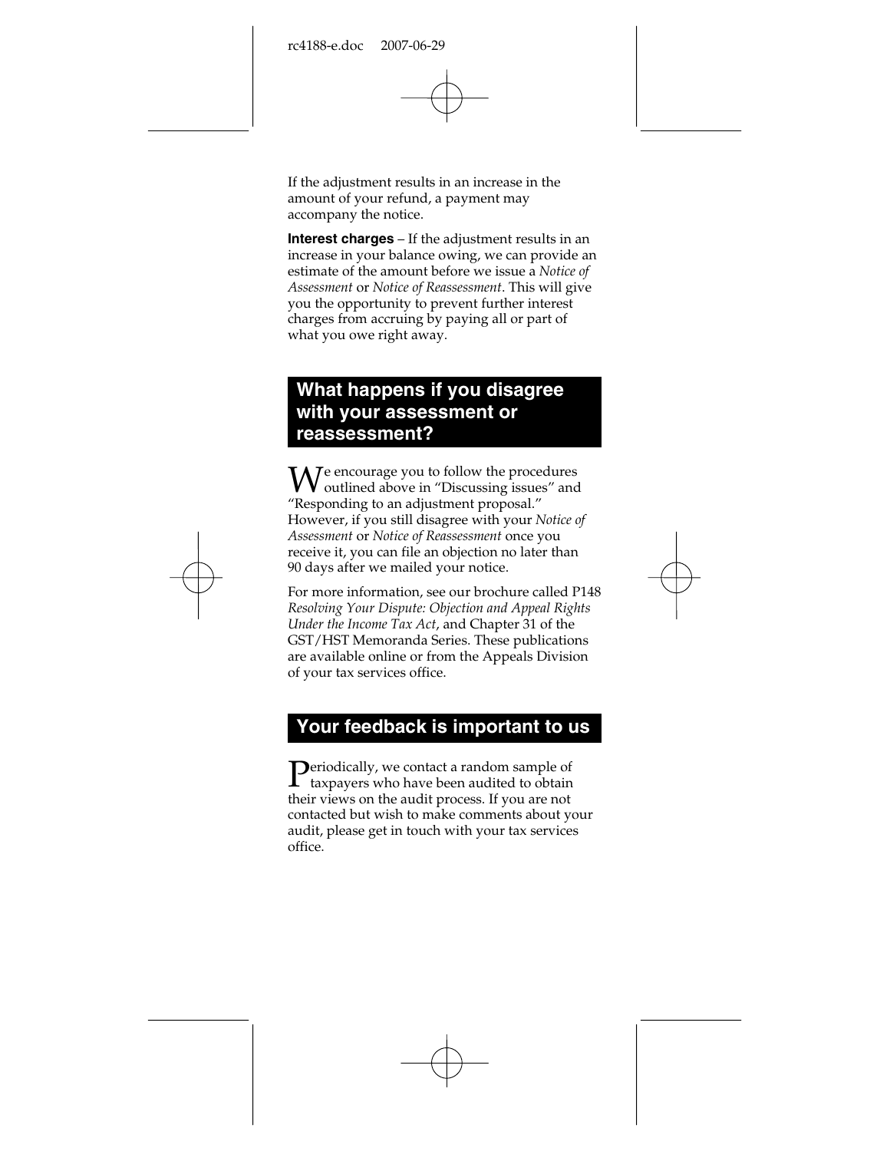If the adjustment results in an increase in the amount of your refund, a payment may accompany the notice.

**Interest charges** – If the adjustment results in an increase in your balance owing, we can provide an estimate of the amount before we issue a *Notice of Assessment* or *Notice of Reassessment*. This will give you the opportunity to prevent further interest charges from accruing by paying all or part of what you owe right away.

### **What happens if you disagree with your assessment or reassessment?**

e encourage you to follow the procedures  $\mathbf{W}$ e encourage you to follow the procedures<br>
"Discussing issues" and "Discussing issues" and "Discussing" and "Discussing" and "Discussing" and "Discussing" and "Discussing" and "Discussing" and "Discussing" and "Dis "Responding to an adjustment proposal." However, if you still disagree with your *Notice of Assessment* or *Notice of Reassessment* once you receive it, you can file an objection no later than 90 days after we mailed your notice.

For more information, see our brochure called P148 *Resolving Your Dispute: Objection and Appeal Rights Under the Income Tax Act*, and Chapter 31 of the GST/HST Memoranda Series. These publications are available online or from the Appeals Division of your tax services office.

## **Your feedback is important to us**

 $\sum$  periodically, we contact a random sample of taxpayers who have been audited to obtain taxpayers who have been audited to obtain their views on the audit process. If you are not contacted but wish to make comments about your audit, please get in touch with your tax services office.